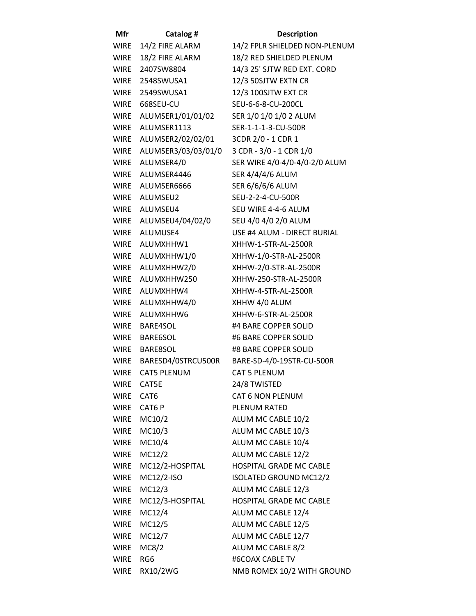| Mfr         | Catalog #               | <b>Description</b>            |
|-------------|-------------------------|-------------------------------|
|             | WIRE 14/2 FIRE ALARM    | 14/2 FPLR SHIELDED NON-PLENUM |
| <b>WIRE</b> | 18/2 FIRE ALARM         | 18/2 RED SHIELDED PLENUM      |
| <b>WIRE</b> | 2407SW8804              | 14/3 25' SJTW RED EXT. CORD   |
|             | WIRE 2548SWUSA1         | 12/3 50SJTW EXTN CR           |
|             | WIRE 2549SWUSA1         | 12/3 100SJTW EXT CR           |
| <b>WIRE</b> | 668SEU-CU               | SEU-6-6-8-CU-200CL            |
|             | WIRE ALUMSER1/01/01/02  | SER 1/0 1/0 1/0 2 ALUM        |
| WIRE        | ALUMSER1113             | SER-1-1-1-3-CU-500R           |
|             | WIRE ALUMSER2/02/02/01  | 3CDR 2/0 - 1 CDR 1            |
| <b>WIRE</b> | ALUMSER3/03/03/01/0     | 3 CDR - 3/0 - 1 CDR 1/0       |
| <b>WIRE</b> | ALUMSER4/0              | SER WIRE 4/0-4/0-4/0-2/0 ALUM |
| <b>WIRE</b> | ALUMSER4446             | SER 4/4/4/6 ALUM              |
|             | WIRE ALUMSER6666        | SER 6/6/6/6 ALUM              |
| <b>WIRE</b> | ALUMSEU2                | SEU-2-2-4-CU-500R             |
|             | WIRE ALUMSEU4           | SEU WIRE 4-4-6 ALUM           |
|             | WIRE ALUMSEU4/04/02/0   | SEU 4/0 4/0 2/0 ALUM          |
|             | WIRE ALUMUSE4           | USE #4 ALUM - DIRECT BURIAL   |
| <b>WIRE</b> | ALUMXHHW1               | XHHW-1-STR-AL-2500R           |
|             | WIRE ALUMXHHW1/0        | XHHW-1/0-STR-AL-2500R         |
|             | WIRE ALUMXHHW2/0        | XHHW-2/0-STR-AL-2500R         |
|             | WIRE ALUMXHHW250        | XHHW-250-STR-AL-2500R         |
| <b>WIRE</b> | ALUMXHHW4               | XHHW-4-STR-AL-2500R           |
|             | WIRE ALUMXHHW4/0        | XHHW 4/0 ALUM                 |
| WIRE        | ALUMXHHW6               | XHHW-6-STR-AL-2500R           |
|             | WIRE BARE4SOL           | #4 BARE COPPER SOLID          |
| <b>WIRE</b> | BARE6SOL                | #6 BARE COPPER SOLID          |
| WIRE        | <b>BARE8SOL</b>         | #8 BARE COPPER SOLID          |
|             | WIRE BARESD4/0STRCU500R | BARE-SD-4/0-19STR-CU-500R     |
| <b>WIRE</b> | <b>CAT5 PLENUM</b>      | <b>CAT 5 PLENUM</b>           |
| WIRE        | CAT5E                   | 24/8 TWISTED                  |
| WIRE CAT6   |                         | CAT 6 NON PLENUM              |
| WIRE        | CAT6 P                  | PLENUM RATED                  |
|             | <b>WIRE MC10/2</b>      | ALUM MC CABLE 10/2            |
| <b>WIRE</b> | MC10/3                  | ALUM MC CABLE 10/3            |
| WIRE        | MC10/4                  | ALUM MC CABLE 10/4            |
| <b>WIRE</b> | MC12/2                  | ALUM MC CABLE 12/2            |
| <b>WIRE</b> | MC12/2-HOSPITAL         | HOSPITAL GRADE MC CABLE       |
| <b>WIRE</b> | MC12/2-ISO              | <b>ISOLATED GROUND MC12/2</b> |
| WIRE        | MC12/3                  | ALUM MC CABLE 12/3            |
| <b>WIRE</b> | MC12/3-HOSPITAL         | HOSPITAL GRADE MC CABLE       |
| <b>WIRE</b> | MC12/4                  | ALUM MC CABLE 12/4            |
| <b>WIRE</b> | MC12/5                  | ALUM MC CABLE 12/5            |
| WIRE        | MC12/7                  | ALUM MC CABLE 12/7            |
| <b>WIRE</b> | MC8/2                   | ALUM MC CABLE 8/2             |
| <b>WIRE</b> | RG <sub>6</sub>         | #6COAX CABLE TV               |
| <b>WIRE</b> | RX10/2WG                | NMB ROMEX 10/2 WITH GROUND    |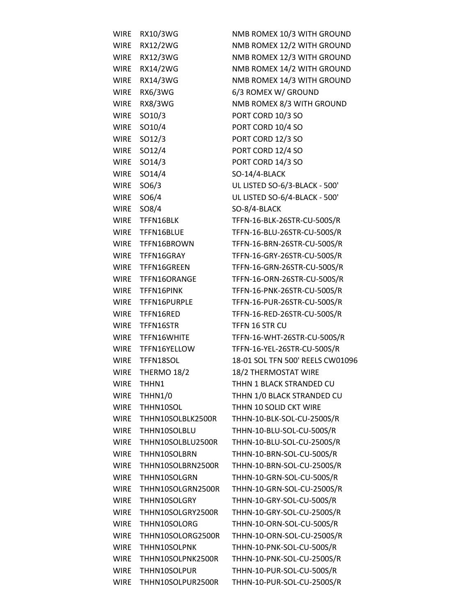| <b>WIRE</b> | RX10/3WG           | NMB ROMEX 10/3 WITH GROUND       |
|-------------|--------------------|----------------------------------|
| <b>WIRE</b> | RX12/2WG           | NMB ROMEX 12/2 WITH GROUND       |
| WIRE        | RX12/3WG           | NMB ROMEX 12/3 WITH GROUND       |
| <b>WIRE</b> | RX14/2WG           | NMB ROMEX 14/2 WITH GROUND       |
| <b>WIRE</b> | RX14/3WG           | NMB ROMEX 14/3 WITH GROUND       |
| <b>WIRE</b> | <b>RX6/3WG</b>     | 6/3 ROMEX W/ GROUND              |
| <b>WIRE</b> | RX8/3WG            | NMB ROMEX 8/3 WITH GROUND        |
| <b>WIRE</b> | SO10/3             | PORT CORD 10/3 SO                |
| <b>WIRE</b> | SO10/4             | PORT CORD 10/4 SO                |
| <b>WIRE</b> | SO <sub>12/3</sub> | PORT CORD 12/3 SO                |
| <b>WIRE</b> | SO12/4             | PORT CORD 12/4 SO                |
| <b>WIRE</b> | SO14/3             | PORT CORD 14/3 SO                |
| <b>WIRE</b> | SO14/4             | SO-14/4-BLACK                    |
| <b>WIRE</b> | SO6/3              | UL LISTED SO-6/3-BLACK - 500'    |
| <b>WIRE</b> | SO6/4              | UL LISTED SO-6/4-BLACK - 500'    |
| <b>WIRE</b> | SO8/4              | SO-8/4-BLACK                     |
| <b>WIRE</b> | TFFN16BLK          | TFFN-16-BLK-26STR-CU-500S/R      |
| WIRE        | TFFN16BLUE         | TFFN-16-BLU-26STR-CU-500S/R      |
| WIRE        | TFFN16BROWN        | TFFN-16-BRN-26STR-CU-500S/R      |
| WIRE        | TFFN16GRAY         | TFFN-16-GRY-26STR-CU-500S/R      |
| <b>WIRE</b> | TFFN16GREEN        | TFFN-16-GRN-26STR-CU-500S/R      |
| <b>WIRE</b> | TFFN16ORANGE       | TFFN-16-ORN-26STR-CU-500S/R      |
| WIRE        | TFFN16PINK         | TFFN-16-PNK-26STR-CU-500S/R      |
| WIRE        | TFFN16PURPLE       | TFFN-16-PUR-26STR-CU-500S/R      |
| <b>WIRE</b> | TFFN16RED          | TFFN-16-RED-26STR-CU-500S/R      |
| <b>WIRE</b> | TFFN16STR          | TFFN 16 STR CU                   |
| WIRE        | TFFN16WHITE        | TFFN-16-WHT-26STR-CU-500S/R      |
| WIRE        | TFFN16YELLOW       | TFFN-16-YEL-26STR-CU-500S/R      |
| WIRE        | TFFN18SOL          | 18-01 SOL TFN 500' REELS CW01096 |
| <b>WIRE</b> | THERMO 18/2        | 18/2 THERMOSTAT WIRE             |
| <b>WIRE</b> | THHN1              | THHN 1 BLACK STRANDED CU         |
| <b>WIRE</b> | THHN1/0            | THHN 1/0 BLACK STRANDED CU       |
| <b>WIRE</b> | THHN10SOL          | THHN 10 SOLID CKT WIRE           |
| <b>WIRE</b> | THHN10SOLBLK2500R  | THHN-10-BLK-SOL-CU-2500S/R       |
| <b>WIRE</b> | THHN10SOLBLU       | THHN-10-BLU-SOL-CU-500S/R        |
| <b>WIRE</b> | THHN10SOLBLU2500R  | THHN-10-BLU-SOL-CU-2500S/R       |
| <b>WIRE</b> | THHN10SOLBRN       | THHN-10-BRN-SOL-CU-500S/R        |
| <b>WIRE</b> | THHN10SOLBRN2500R  | THHN-10-BRN-SOL-CU-2500S/R       |
| <b>WIRE</b> | THHN10SOLGRN       | THHN-10-GRN-SOL-CU-500S/R        |
| <b>WIRE</b> | THHN10SOLGRN2500R  | THHN-10-GRN-SOL-CU-2500S/R       |
| <b>WIRE</b> | THHN10SOLGRY       | THHN-10-GRY-SOL-CU-500S/R        |
| <b>WIRE</b> | THHN10SOLGRY2500R  | THHN-10-GRY-SOL-CU-2500S/R       |
| <b>WIRE</b> | THHN10SOLORG       | THHN-10-ORN-SOL-CU-500S/R        |
| <b>WIRE</b> | THHN10SOLORG2500R  | THHN-10-ORN-SOL-CU-2500S/R       |
| <b>WIRE</b> | THHN10SOLPNK       | THHN-10-PNK-SOL-CU-500S/R        |
| <b>WIRE</b> | THHN10SOLPNK2500R  | THHN-10-PNK-SOL-CU-2500S/R       |
| <b>WIRE</b> | THHN10SOLPUR       | THHN-10-PUR-SOL-CU-500S/R        |
| <b>WIRE</b> | THHN10SOLPUR2500R  | THHN-10-PUR-SOL-CU-2500S/R       |
|             |                    |                                  |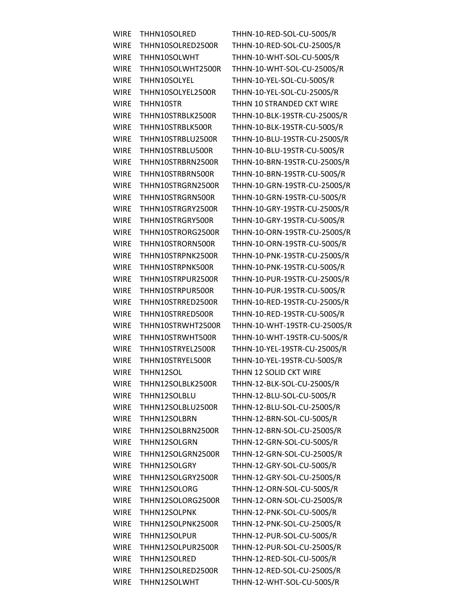WIRE THHN10SOLRED2500R THHN-10-RED-SOL-CU-2500S/R WIRE THHN10SOLWHT THHN-10-WHT-SOL-CU-500S/R WIRE THHN10SOLWHT2500R THHN-10-WHT-SOL-CU-2500S/R WIRE THHN10SOLYEL THHN-10-YEL-SOL-CU-500S/R WIRE THHN10SOLYEL2500R THHN-10-YEL-SOL-CU-2500S/R WIRE THHN10STR THHN 10 STRANDED CKT WIRE WIRE THHN10STRBLK500R THHN-10-BLK-19STR-CU-500S/R WIRE THHN10STRBLU500R THHN-10-BLU-19STR-CU-500S/R WIRE THHN10STRBRN500R THHN-10-BRN-19STR-CU-500S/R WIRE THHN10STRGRN500R THHN-10-GRN-19STR-CU-500S/R WIRE THHN10STRGRY500R THHN-10-GRY-19STR-CU-500S/R WIRE THHN10STRORN500R THHN-10-ORN-19STR-CU-500S/R WIRE THHN10STRPNK500R THHN-10-PNK-19STR-CU-500S/R WIRE THHN10STRPUR500R THHN-10-PUR-19STR-CU-500S/R WIRE THHN10STRRED500R THHN-10-RED-19STR-CU-500S/R WIRE THHN10STRYEL2500R THHN-10-YEL-19STR-CU-2500S/R WIRE THHN10STRYEL500R THHN-10-YEL-19STR-CU-500S/R WIRE THHN12SOL THHN 12 SOLID CKT WIRE WIRE THHN12SOLBLK2500R THHN-12-BLK-SOL-CU-2500S/R WIRE THHN12SOLBLU THHN-12-BLU-SOL-CU-500S/R WIRE THHN12SOLBLU2500R THHN-12-BLU-SOL-CU-2500S/R WIRE THHN12SOLBRN THHN-12-BRN-SOL-CU-500S/R WIRE THHN12SOLBRN2500R THHN-12-BRN-SOL-CU-2500S/R WIRE THHN12SOLGRN THHN-12-GRN-SOL-CU-500S/R WIRE THHN12SOLGRN2500R THHN-12-GRN-SOL-CU-2500S/R WIRE THHN12SOLGRY THHN-12-GRY-SOL-CU-500S/R WIRE THHN12SOLGRY2500R THHN-12-GRY-SOL-CU-2500S/R WIRE THHN12SOLORG THHN-12-ORN-SOL-CU-500S/R WIRE THHN12SOLORG2500R THHN-12-ORN-SOL-CU-2500S/R WIRE THHN12SOLPNK THHN-12-PNK-SOL-CU-500S/R WIRE THHN12SOLPNK2500R THHN-12-PNK-SOL-CU-2500S/R WIRE THHN12SOLPUR THHN-12-PUR-SOL-CU-500S/R WIRE THHN12SOLPUR2500R THHN-12-PUR-SOL-CU-2500S/R WIRE THHN12SOLRED THHN-12-RED-SOL-CU-500S/R WIRE THHN12SOLRED2500R THHN-12-RED-SOL-CU-2500S/R WIRE THHN12SOLWHT THHN-12-WHT-SOL-CU-500S/R

WIRE THHN10SOLRED THHN-10-RED-SOL-CU-500S/R WIRE THHN10STRBLK2500R THHN-10-BLK-19STR-CU-2500S/R WIRE THHN10STRBLU2500R THHN-10-BLU-19STR-CU-2500S/R WIRE THHN10STRBRN2500R THHN-10-BRN-19STR-CU-2500S/R WIRE THHN10STRGRN2500R THHN-10-GRN-19STR-CU-2500S/R WIRE THHN10STRGRY2500R THHN-10-GRY-19STR-CU-2500S/R WIRE THHN10STRORG2500R THHN-10-ORN-19STR-CU-2500S/R WIRE THHN10STRPNK2500R THHN-10-PNK-19STR-CU-2500S/R WIRE THHN10STRPUR2500R THHN-10-PUR-19STR-CU-2500S/R WIRE THHN10STRRED2500R THHN-10-RED-19STR-CU-2500S/R WIRE THHN10STRWHT2500R THHN-10-WHT-19STR-CU-2500S/R WIRE THHN10STRWHT500R THHN-10-WHT-19STR-CU-500S/R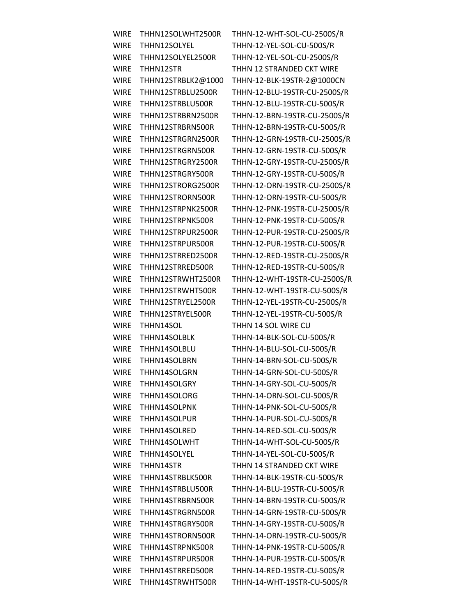| <b>WIRE</b> | THHN12SOLWHT2500R  | THHN-12-WHT-SOL-CU-2500S/R   |
|-------------|--------------------|------------------------------|
| <b>WIRE</b> | THHN12SOLYEL       | THHN-12-YEL-SOL-CU-500S/R    |
| <b>WIRE</b> | THHN12SOLYEL2500R  | THHN-12-YEL-SOL-CU-2500S/R   |
| <b>WIRE</b> | THHN12STR          | THHN 12 STRANDED CKT WIRE    |
| <b>WIRE</b> | THHN12STRBLK2@1000 | THHN-12-BLK-19STR-2@1000CN   |
| <b>WIRE</b> | THHN12STRBLU2500R  | THHN-12-BLU-19STR-CU-2500S/R |
| <b>WIRE</b> | THHN12STRBLU500R   | THHN-12-BLU-19STR-CU-500S/R  |
| <b>WIRE</b> | THHN12STRBRN2500R  | THHN-12-BRN-19STR-CU-2500S/R |
| <b>WIRE</b> | THHN12STRBRN500R   | THHN-12-BRN-19STR-CU-500S/R  |
| <b>WIRE</b> | THHN12STRGRN2500R  | THHN-12-GRN-19STR-CU-2500S/R |
| <b>WIRE</b> | THHN12STRGRN500R   | THHN-12-GRN-19STR-CU-500S/R  |
| <b>WIRE</b> | THHN12STRGRY2500R  | THHN-12-GRY-19STR-CU-2500S/R |
| <b>WIRE</b> | THHN12STRGRY500R   | THHN-12-GRY-19STR-CU-500S/R  |
| <b>WIRE</b> | THHN12STRORG2500R  | THHN-12-ORN-19STR-CU-2500S/R |
| <b>WIRE</b> |                    |                              |
|             | THHN12STRORN500R   | THHN-12-ORN-19STR-CU-500S/R  |
| <b>WIRE</b> | THHN12STRPNK2500R  | THHN-12-PNK-19STR-CU-2500S/R |
| <b>WIRE</b> | THHN12STRPNK500R   | THHN-12-PNK-19STR-CU-500S/R  |
| <b>WIRE</b> | THHN12STRPUR2500R  | THHN-12-PUR-19STR-CU-2500S/R |
| <b>WIRE</b> | THHN12STRPUR500R   | THHN-12-PUR-19STR-CU-500S/R  |
| <b>WIRE</b> | THHN12STRRED2500R  | THHN-12-RED-19STR-CU-2500S/R |
| <b>WIRE</b> | THHN12STRRED500R   | THHN-12-RED-19STR-CU-500S/R  |
| <b>WIRE</b> | THHN12STRWHT2500R  | THHN-12-WHT-19STR-CU-2500S/R |
| <b>WIRE</b> | THHN12STRWHT500R   | THHN-12-WHT-19STR-CU-500S/R  |
| <b>WIRE</b> | THHN12STRYEL2500R  | THHN-12-YEL-19STR-CU-2500S/R |
| <b>WIRE</b> | THHN12STRYEL500R   | THHN-12-YEL-19STR-CU-500S/R  |
| <b>WIRE</b> | THHN14SOL          | THHN 14 SOL WIRE CU          |
| <b>WIRE</b> | THHN14SOLBLK       | THHN-14-BLK-SOL-CU-500S/R    |
| <b>WIRE</b> | THHN14SOLBLU       | THHN-14-BLU-SOL-CU-500S/R    |
| <b>WIRE</b> | THHN14SOLBRN       | THHN-14-BRN-SOL-CU-500S/R    |
| <b>WIRE</b> | THHN14SOLGRN       | THHN-14-GRN-SOL-CU-500S/R    |
| <b>WIRE</b> | THHN14SOLGRY       | THHN-14-GRY-SOL-CU-500S/R    |
| <b>WIRE</b> | THHN14SOLORG       | THHN-14-ORN-SOL-CU-500S/R    |
| <b>WIRE</b> | THHN14SOLPNK       | THHN-14-PNK-SOL-CU-500S/R    |
| <b>WIRE</b> | THHN14SOLPUR       | THHN-14-PUR-SOL-CU-500S/R    |
| <b>WIRE</b> | THHN14SOLRED       | THHN-14-RED-SOL-CU-500S/R    |
| <b>WIRE</b> | THHN14SOLWHT       | THHN-14-WHT-SOL-CU-500S/R    |
| <b>WIRE</b> | THHN14SOLYEL       | THHN-14-YEL-SOL-CU-500S/R    |
| <b>WIRE</b> | THHN14STR          | THHN 14 STRANDED CKT WIRE    |
| <b>WIRE</b> | THHN14STRBLK500R   | THHN-14-BLK-19STR-CU-500S/R  |
| <b>WIRE</b> | THHN14STRBLU500R   | THHN-14-BLU-19STR-CU-500S/R  |
| <b>WIRE</b> | THHN14STRBRN500R   | THHN-14-BRN-19STR-CU-500S/R  |
| <b>WIRE</b> | THHN14STRGRN500R   | THHN-14-GRN-19STR-CU-500S/R  |
| <b>WIRE</b> | THHN14STRGRY500R   | THHN-14-GRY-19STR-CU-500S/R  |
| <b>WIRE</b> | THHN14STRORN500R   | THHN-14-ORN-19STR-CU-500S/R  |
| <b>WIRE</b> | THHN14STRPNK500R   | THHN-14-PNK-19STR-CU-500S/R  |
| <b>WIRE</b> | THHN14STRPUR500R   | THHN-14-PUR-19STR-CU-500S/R  |
| <b>WIRE</b> | THHN14STRRED500R   | THHN-14-RED-19STR-CU-500S/R  |
| <b>WIRE</b> | THHN14STRWHT500R   | THHN-14-WHT-19STR-CU-500S/R  |
|             |                    |                              |